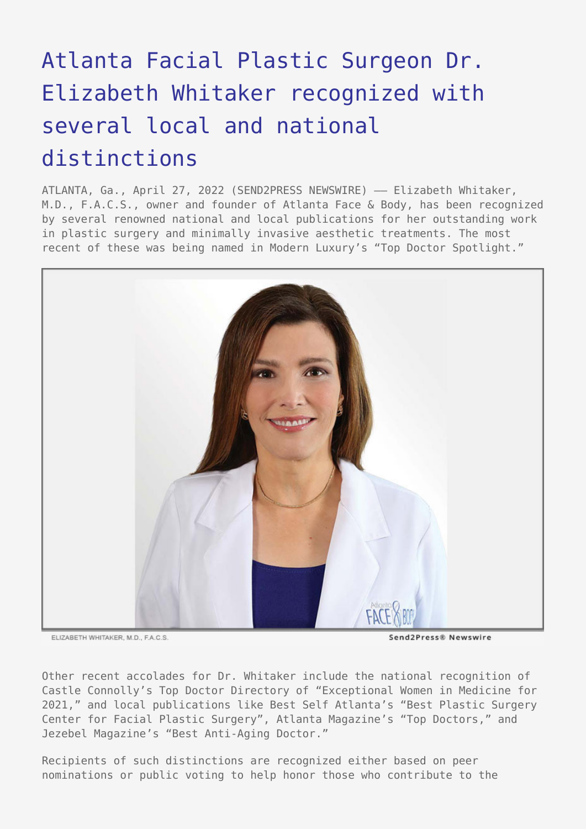## [Atlanta Facial Plastic Surgeon Dr.](https://www.send2press.com/wire/atlanta-facial-plastic-surgeon-dr-elizabeth-whitaker-recognized-with-several-local-and-national-distinctions/) [Elizabeth Whitaker recognized with](https://www.send2press.com/wire/atlanta-facial-plastic-surgeon-dr-elizabeth-whitaker-recognized-with-several-local-and-national-distinctions/) [several local and national](https://www.send2press.com/wire/atlanta-facial-plastic-surgeon-dr-elizabeth-whitaker-recognized-with-several-local-and-national-distinctions/) [distinctions](https://www.send2press.com/wire/atlanta-facial-plastic-surgeon-dr-elizabeth-whitaker-recognized-with-several-local-and-national-distinctions/)

ATLANTA, Ga., April 27, 2022 (SEND2PRESS NEWSWIRE) - Elizabeth Whitaker, M.D., F.A.C.S., owner and founder of Atlanta Face & Body, has been recognized by several renowned national and local publications for her outstanding work in plastic surgery and minimally invasive aesthetic treatments. The most recent of these was being named in Modern Luxury's "Top Doctor Spotlight."



ELIZARETH WHITAKER M.D. FACS

Send2Press® Newswire

Other recent accolades for Dr. Whitaker include the national recognition of Castle Connolly's Top Doctor Directory of "Exceptional Women in Medicine for 2021," and local publications like Best Self Atlanta's "Best Plastic Surgery Center for Facial Plastic Surgery", Atlanta Magazine's "Top Doctors," and Jezebel Magazine's "Best Anti-Aging Doctor."

Recipients of such distinctions are recognized either based on peer nominations or public voting to help honor those who contribute to the